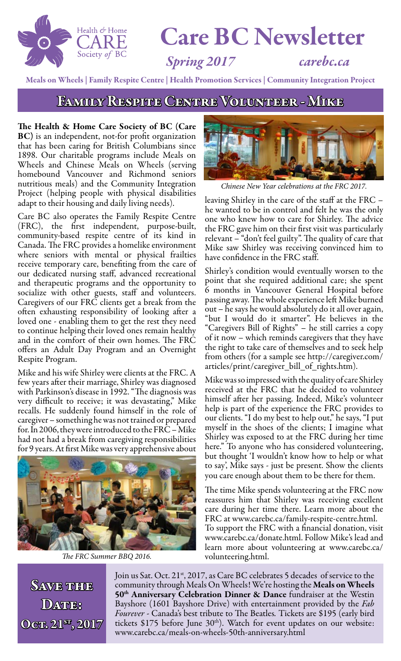

# Care BC Newsletter

*Spring 2017 carebc.ca*

Meals on Wheels | Family Respite Centre | Health Promotion Services | Community Integration Project

FAMILY RESPITE CENTRE VOLUNTEER - MIKE

The Health & Home Care Society of BC (Care BC) is an independent, not-for profit organization that has been caring for British Columbians since 1898. Our charitable programs include Meals on Wheels and Chinese Meals on Wheels (serving homebound Vancouver and Richmond seniors nutritious meals) and the Community Integration Project (helping people with physical disabilities adapt to their housing and daily living needs).

Care BC also operates the Family Respite Centre (FRC), the first independent, purpose-built, community-based respite centre of its kind in Canada. The FRC provides a homelike environment where seniors with mental or physical frailties receive temporary care, benefiting from the care of our dedicated nursing staff, advanced recreational and therapeutic programs and the opportunity to socialize with other guests, staff and volunteers. Caregivers of our FRC clients get a break from the often exhausting responsibility of looking after a loved one - enabling them to get the rest they need to continue helping their loved ones remain healthy and in the comfort of their own homes. The FRC offers an Adult Day Program and an Overnight Respite Program.

Mike and his wife Shirley were clients at the FRC. A few years after their marriage, Shirley was diagnosed with Parkinson's disease in 1992. "The diagnosis was very difficult to receive; it was devastating," Mike recalls. He suddenly found himself in the role of caregiver – something he was not trained or prepared for. In 2006, they were introduced to the FRC – Mike had not had a break from caregiving responsibilities for 9 years. At first Mike was very apprehensive about



*The FRC Summer BBQ 2016.*



*Chinese New Year celebrations at the FRC 2017.*

leaving Shirley in the care of the staff at the FRC – he wanted to be in control and felt he was the only one who knew how to care for Shirley. The advice the FRC gave him on their first visit was particularly relevant – "don't feel guilty". The quality of care that Mike saw Shirley was receiving convinced him to have confidence in the FRC staff.

Shirley's condition would eventually worsen to the point that she required additional care; she spent 6 months in Vancouver General Hospital before passing away. The whole experience left Mike burned out – he says he would absolutely do it all over again, "but I would do it smarter". He believes in the "Caregivers Bill of Rights" – he still carries a copy of it now – which reminds caregivers that they have the right to take care of themselves and to seek help from others (for a sample see http://caregiver.com/ articles/print/caregiver\_bill\_of\_rights.htm).

Mike was so impressed with the quality of care Shirley received at the FRC that he decided to volunteer himself after her passing. Indeed, Mike's volunteer help is part of the experience the FRC provides to our clients. "I do my best to help out," he says, "I put myself in the shoes of the clients; I imagine what Shirley was exposed to at the FRC during her time here." To anyone who has considered volunteering, but thought 'I wouldn't know how to help or what to say', Mike says - just be present. Show the clients you care enough about them to be there for them.

The time Mike spends volunteering at the FRC now reassures him that Shirley was receiving excellent care during her time there. Learn more about the FRC at www.carebc.ca/family-respite-centre.html. To support the FRC with a financial donation, visit www.carebc.ca/donate.html. Follow Mike's lead and learn more about volunteering at www.carebc.ca/ volunteering.html.

Save thee DATTES Oct. 21st, 2017 Join us Sat. Oct. 21<sup>st</sup>, 2017, as Care BC celebrates 5 decades of service to the community through Meals On Wheels! We're hosting the Meals on Wheels  $50<sup>th</sup>$  Anniversary Celebration Dinner & Dance fundraiser at the Westin Bayshore (1601 Bayshore Drive) with entertainment provided by the *Fab Fourever -* Canada's best tribute to The Beatles*.* Tickets are \$195 (early bird tickets \$175 before June  $30<sup>th</sup>$ ). Watch for event updates on our website: www.carebc.ca/meals-on-wheels-50th-anniversary.html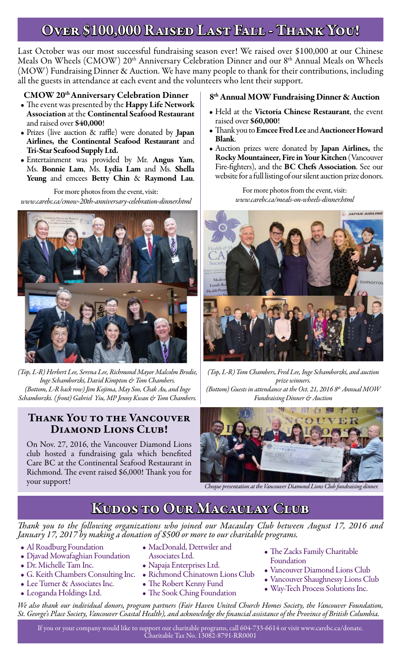### Over \$100,000 Raised Last Fall - Thank You!

Last October was our most successful fundraising season ever! We raised over \$100,000 at our Chinese Meals On Wheels (CMOW) 20<sup>th</sup> Anniversary Celebration Dinner and our 8<sup>th</sup> Annual Meals on Wheels (MOW) Fundraising Dinner & Auction. We have many people to thank for their contributions, including all the guests in attendance at each event and the volunteers who lent their support.

#### CMOW 20th Anniversary Celebration Dinner

- The event was presented by the Happy Life Network Association at the Continental Seafood Restaurant and raised over \$40,000!
- Prizes (live auction & raffle) were donated by **Japan** Airlines, the Continental Seafood Restaurant and Tri-Star Seafood Supply Ltd.
- Entertainment was provided by Mr. Angus Yam, Ms. Bonnie Lam, Ms. Lydia Lam and Ms. Shella Yeung and emcees Betty Chin & Raymond Lau.

For more photos from the event, visit: *www.carebc.ca/cmow-20th-anniversary-celebration-dinner.html*



*(Top, L-R) Herbert Lee, Serena Lee, Richmond Mayor Malcolm Brodie, Inge Schamborzki, David Kimpton & Tom Chambers. (Bottom, L-R back row) Jim Kojima, May Soo, Chak Au, and Inge Schamborzki. ( front) Gabriel Yiu, MP Jenny Kwan & Tom Chambers.*

### Thank You to the Vancouver DIAMOND LIONS CLUB!

On Nov. 27, 2016, the Vancouver Diamond Lions club hosted a fundraising gala which benefited Care BC at the Continental Seafood Restaurant in Richmond. The event raised \$6,000! Thank you for your support! *Cheque presentation at the Vancouver Diamond Lions Club fundraising dinner.*

#### 8th Annual MOW Fundraising Dinner & Auction

- Held at the Victoria Chinese Restaurant, the event raised over \$60,000!
- Thank you to Emcee Fred Lee and Auctioneer Howard Blank.
- Auction prizes were donated by Japan Airlines, the Rocky Mountaineer, Fire in Your Kitchen (Vancouver Fire-fighters), and the BC Chefs Association. See our website for a full listing of our silent auction prize donors.

For more photos from the event, visit: *www.carebc.ca/meals-on-wheels-dinner.html*



*(Top, L-R) Tom Chambers, Fred Lee, Inge Schamborzki, and auction prize winners. (Bottom) Guests in attendance at the Oct. 21, 2016 8th Annual MOW Fundraising Dinner & Auction*



### Kudos to Our Macaulay Club

*Thank you to the following organizations who joined our Macaulay Club between August 17, 2016 and January 17, 2017 by making a donation of \$500 or more to our charitable programs.*

- Al Roadburg Foundation
- Djavad Mowafaghian Foundation
- Dr. Michelle Tam Inc.
- G. Keith Chambers Consulting Inc.
- Lee Turner & Associates Inc.
- Leoganda Holdings Ltd.
- MacDonald, Dettwiler and
- Associates Ltd.
- Napaja Enterprises Ltd. • Richmond Chinatown Lions Club
- 
- The Robert Kenny Fund
- The Sook Ching Foundation
- The Zacks Family Charitable Foundation
- Vancouver Diamond Lions Club
- Vancouver Shaughnessy Lions Club
- Way-Tech Process Solutions Inc.

*We also thank our individual donors, program partners (Fair Haven United Church Homes Society, the Vancouver Foundation, St. George's Place Society, Vancouver Coastal Health), and acknowledge the financial assistance of the Province of British Columbia.*

If you or your company would like to support our charitable programs, call 604-733-6614 or visit www.carebc.ca/donate. Charitable Tax No. 13082-8791-RR0001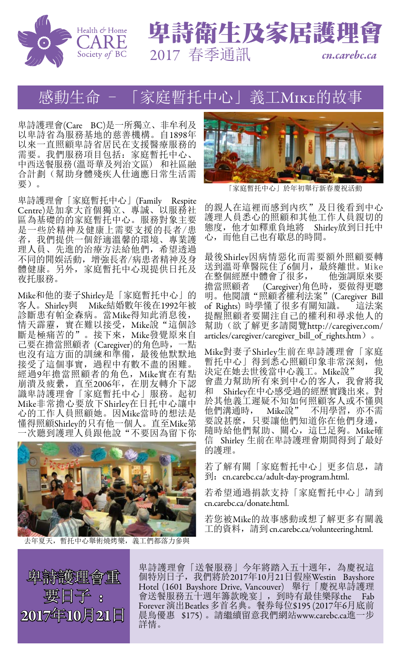



# 感動生命 - 「家庭暫托中心」義工Mike的故事

卑詩護理會(Care BC)是一所獨立、非牟利及 以卑詩省為服務基地的慈善機構。自1898年 以來一直照顧卑詩省居民在支援醫療服務的 5个 最"你,"可自己托:家庭暫托中心、 中西送餐服務(溫哥華及列治文區) 和社區融 合計劃(幫助身體殘疾人仕適應日常生活需 要)。

卑詩護理會「家庭暫托中心」(Family Respite Centre)是加拿大首個獨立、專誠、以服務社 區為基礎的的家庭暫托中心。服務對象主要 是一些於精神及健康上需要支援的長者/患 者,我們提供一個舒適溫馨的環境、專業護 理人員、先進的治療方法給他們,希望透過 不同的閒娛活動,增強長者/病患者精神及身 體健康。另外,家庭暫托中心現提供日托及 夜托服務。

Mike和他的妻子Shirley是「家庭暫托中心」的 客人。Shirley與 Mike結婚數年後在1992年被 診斷患有帕金森病。當Mike得知此消息後, 情天霹靂,實在難以接受, Mike說"這個診 斷是極痛苦的"。接下來, Mike發覺原來自 己要在擔當照顧者 (Caregiver)的角色時,一點 也沒有這方面的訓練和準備, 最後他默默地 接受了這個事實,過程中有數不盡的困難。 經過9年擔當照顧者的角色, Mike實在有點 前潰及疲纍, 直至2006年, 在朋友轉介下認 識卑詩護理會「家庭暫托中心」服務。起初 Mike非常擔心要放下Shirley在日托中心讓中 心的工作人員照顧她。因Mike當時的想法是 懂得照顧Shirley的只有他一個人。直至Mike第 一次聽到護理人員跟他說"不要因為留下你



去年夏天,暫托中心舉術燒烤樂,義工們都落力參與



「家庭暫托中心」於年初舉行新春慶祝活動

的親人在這裡而感到內疚"及日後看到中心 護理人員悉心的照顧和其他工作人員親切的 態度,他才如釋重負地將 Shirley放到日托中 心,而他自己也有歇息的時間。

最後Shirley因病情惡化而需要額外照顧要轉 送到溫哥華醫院住了6個月,最終離世。Mike<br>在整個經歷中體會了很多, 他強調原來要 在整個經歷中體會了很多, 擔當照顧者 (Caregiver)角色時,要做得更聰 明。他閱讀"照顧者權利法案"(Caregiver Bill of Rights) 時學懂了很多有關知識。 這法案 提醒照顧者要關注自己的權利和尋求他人的 幫助(欲了解更多請閱覽http://caregiver.com/ articles/caregiver/caregiver\_bill\_of\_rights.htm)。

Mike對妻子Shirley生前在卑詩護理會「家庭 暫托中心」得到悉心照顧印象非常深刻,他 決定在她去世後當中心義工。Mike說" 我 會盡力幫助所有來到中心的客人,我會將我 和 Shirley在中心感受過的經歷實踐出來。對 於其他義工遲疑不知如何照顧客人或不懂與 他們溝通時, Mike說" 不用學習,亦不需 要說甚麼,只要讓他們知道你在他們身邊, 隨時給他們幫助、關心,這巳足夠。Mike確 信 Shirley 生前在卑詩護理會期間得到了最好 的護理。

若了解有關「家庭暫托中心」更多信息,請 到: cn.carebc.ca/adult-day-program.html.

若希望通過捐款支持「家庭暫托中心」請到 cn.carebc.ca/donate.html.

若您被Mike的故事感動或想了解更多有關義 工的資料, 請到 cn.carebc.ca/volunteering.html.

卑詩護理會重 要日子 2017年10月21日

卑詩護理會「送餐服務」今年將踏入五十週年,為慶祝這 個特別日子,我們將於2017年10月21日假座Westin Bayshore Hotel (1601 Bayshore Drive, Vancouver) 舉行「慶祝卑詩護理 會送餐服務五十週年籌款晚宴」,到時有最佳樂隊the Fab Forever 演出Beatles 多首名典。餐券每位\$195 (2017年6月底前 晨鳥優惠 \$175) 。請繼續留意我們網站www.carebc.ca進一步 詳情。